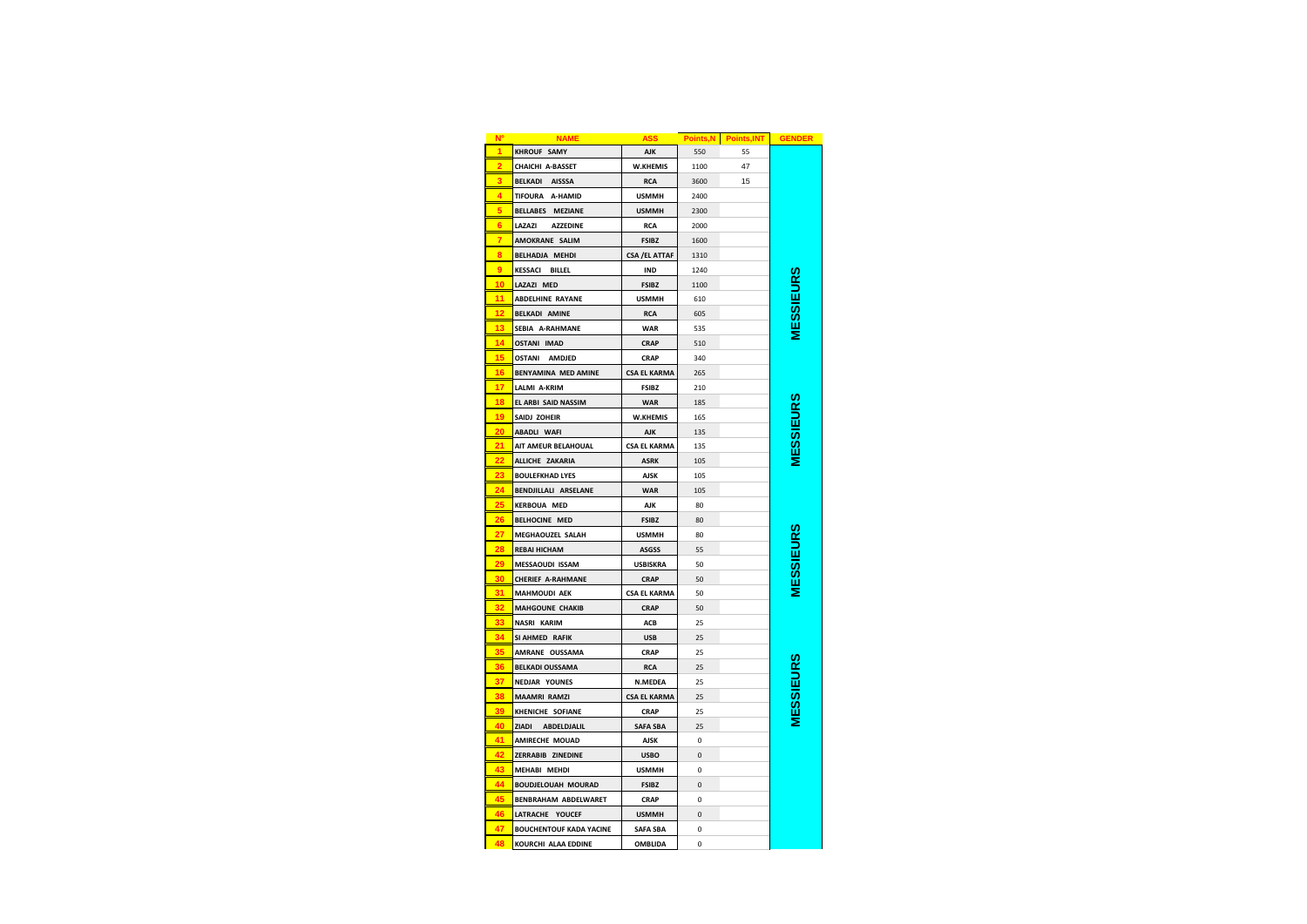|                         | <b>NAME</b>                    | <b>ASS</b>            |             | Points, N Points, INT | <b>GENDER</b>    |
|-------------------------|--------------------------------|-----------------------|-------------|-----------------------|------------------|
|                         | <b>KHROUF SAMY</b>             | <b>AJK</b>            | 550         | 55                    |                  |
|                         | CHAICHI A-BASSET               | <b>W.KHEMIS</b>       | 1100        | 47                    |                  |
| $\overline{\mathbf{3}}$ | <b>BELKADI</b><br>AISSSA       | <b>RCA</b>            | 3600        | 15                    |                  |
|                         | TIFOURA A-HAMID                | <b>USMMH</b>          | 2400        |                       |                  |
|                         | BELLABES MEZIANE               | <b>USMMH</b>          | 2300        |                       |                  |
|                         | LAZAZI<br><b>AZZEDINE</b>      | <b>RCA</b>            | 2000        |                       |                  |
|                         | AMOKRANE SALIM                 | <b>FSIBZ</b>          | 1600        |                       |                  |
| я                       | BELHADJA MEHDI                 | <b>CSA / EL ATTAF</b> | 1310        |                       |                  |
| ٥                       | <b>KESSACI BILLEL</b>          | <b>IND</b>            | 1240        |                       |                  |
| 10                      | LAZAZI MED                     | <b>FSIBZ</b>          | 1100        |                       | <b>MESSIEURS</b> |
| 11                      | <b>ABDELHINE RAYANE</b>        | <b>USMMH</b>          | 610         |                       |                  |
|                         | <b>BELKADI AMINE</b>           | <b>RCA</b>            | 605         |                       |                  |
| 13                      | SEBIA A-RAHMANE                | <b>WAR</b>            | 535         |                       |                  |
| 14                      | <b>OSTANI IMAD</b>             | <b>CRAP</b>           | 510         |                       |                  |
| 15                      | OSTANI AMDJED                  | <b>CRAP</b>           | 340         |                       |                  |
| 16                      | BENYAMINA MED AMINE            | <b>CSA EL KARMA</b>   | 265         |                       |                  |
| 17                      | LALMI A-KRIM                   | <b>FSIBZ</b>          | 210         |                       |                  |
| 18                      | EL ARBI SAID NASSIM            | <b>WAR</b>            | 185         |                       | <b>IESSIEURS</b> |
| 19                      | SAIDJ ZOHEIR                   | W.KHEMIS              | 165         |                       |                  |
| 20                      | ABADLI WAFI                    | <b>AJK</b>            | 135         |                       |                  |
| 21                      | AIT AMEUR BELAHOUAL            | <b>CSA EL KARMA</b>   | 135         |                       |                  |
| 22                      | ALLICHE ZAKARIA                | <b>ASRK</b>           | 105         |                       |                  |
|                         | <b>BOULEFKHAD LYES</b>         | <b>AJSK</b>           | 105         |                       |                  |
| 24                      | BENDJILLALI ARSELANE           | <b>WAR</b>            | 105         |                       |                  |
| 2 <sub>5</sub>          | <b>KERBOUA MED</b>             | <b>AJK</b>            | 80          |                       |                  |
| 26                      | BELHOCINE MED                  | <b>FSIBZ</b>          | 80          |                       |                  |
|                         | MEGHAOUZEL SALAH               | <b>USMMH</b>          | 80          |                       |                  |
| 28                      | <b>REBAI HICHAM</b>            | <b>ASGSS</b>          | 55          |                       |                  |
|                         | MESSAOUDI ISSAM                | <b>USBISKRA</b>       | 50          |                       | <b>IESSIEURS</b> |
| 30                      | <b>CHERIEF A-RAHMANE</b>       | <b>CRAP</b>           | 50          |                       |                  |
| 31                      | <b>MAHMOUDI AEK</b>            | <b>CSA EL KARMA</b>   | 50          |                       |                  |
|                         | MAHGOUNE CHAKIB                | <b>CRAP</b>           | 50          |                       |                  |
|                         | NASRI KARIM                    | ACB                   | 25          |                       |                  |
|                         | SI AHMED RAFIK                 | <b>USB</b>            | 25          |                       |                  |
| 35                      | AMRANE OUSSAMA                 | CRAP                  | 25          |                       |                  |
|                         | <b>BELKADI OUSSAMA</b>         | <b>RCA</b>            | 25          |                       |                  |
| 37                      | <b>NEDJAR YOUNES</b>           | N.MEDEA               | 25          |                       |                  |
| 38                      | <b>MAAMRI RAMZI</b>            | <b>CSA EL KARMA</b>   | 25          |                       |                  |
| 39                      | KHENICHE SOFIANE               | CRAP                  | 25          |                       | <b>IESSIEURS</b> |
| 40                      | ZIADI ABDELDJALIL              | <b>SAFA SBA</b>       | 25          |                       |                  |
| 41                      | AMIRECHE MOUAD                 | <b>AJSK</b>           | $\Omega$    |                       |                  |
| $\overline{A}$          | ZERRABIB ZINEDINE              | <b>USBO</b>           | $\Omega$    |                       |                  |
| 43                      | MEHABI MEHDI                   | <b>USMMH</b>          | 0           |                       |                  |
| 44                      | BOUDJELOUAH MOURAD             | <b>FSIBZ</b>          | 0           |                       |                  |
| 45                      | BENBRAHAM ABDELWARET           | <b>CRAP</b>           | 0           |                       |                  |
| 46                      | LATRACHE YOUCEF                | <b>USMMH</b>          | 0           |                       |                  |
| 47                      | <b>BOUCHENTOUF KADA YACINE</b> | <b>SAFA SBA</b>       | $\mathbf 0$ |                       |                  |
| 48                      | KOURCHI ALAA EDDINE            | OMBLIDA               | $\mathbf 0$ |                       |                  |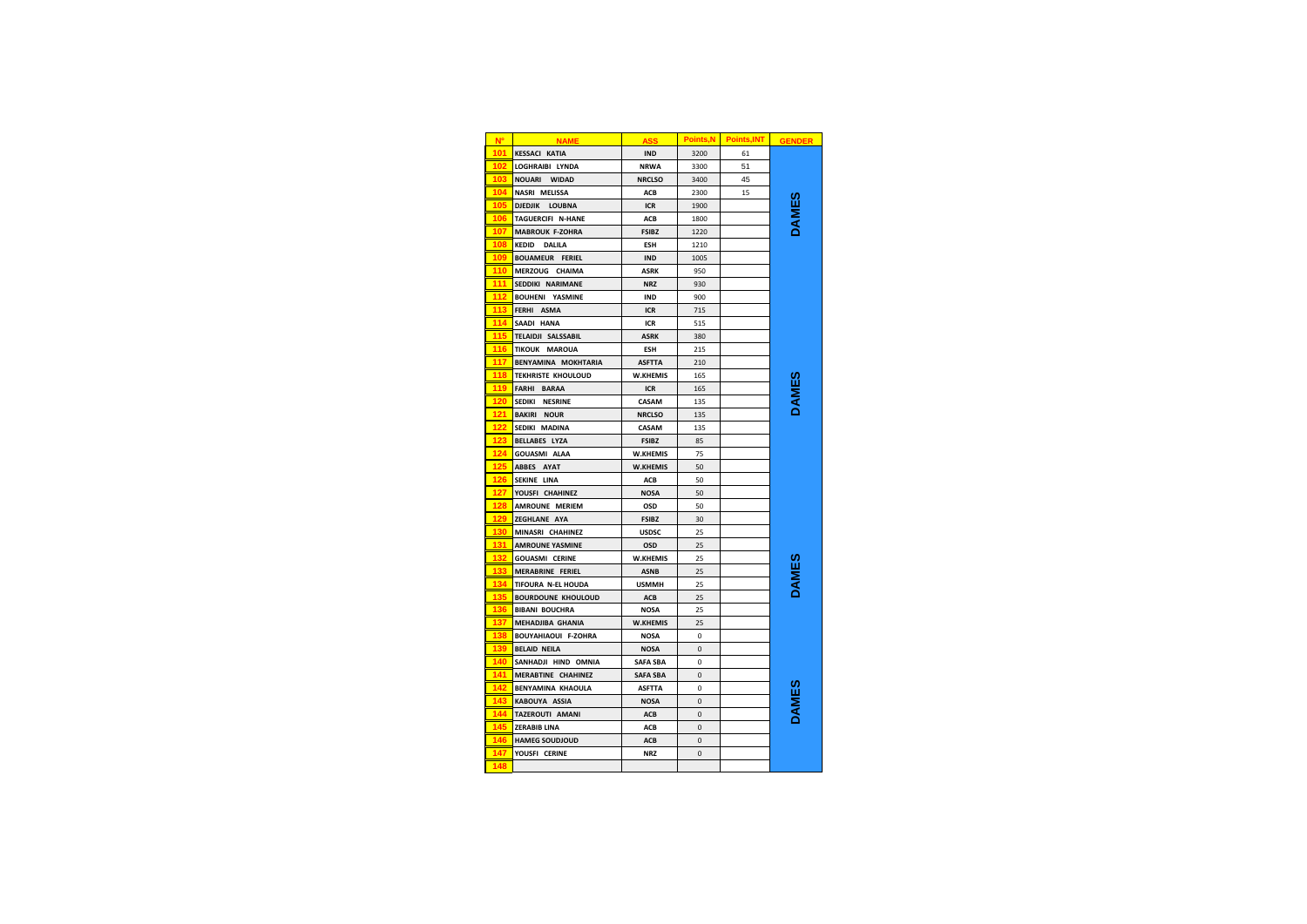| N°              | <b>NAME</b>                   | <b>ASS</b>      | <b>Points, N</b> | <b>Points, INT</b> | <b>GENDER</b> |
|-----------------|-------------------------------|-----------------|------------------|--------------------|---------------|
| 101             | <b>KESSACI KATIA</b>          | <b>IND</b>      | 3200             | 61                 |               |
| 102             | LOGHRAIBI LYNDA               | <b>NRWA</b>     | 3300             | 51                 |               |
| 103             | NOUARI WIDAD                  | <b>NRCLSO</b>   | 3400             | 45                 |               |
| 104             | NASRI MELISSA                 | ACB             | 2300             | 15                 |               |
| 10 <sup>t</sup> | DJEDJIK LOUBNA                | ICR             | 1900             |                    |               |
| 106             | TAGUERCIFI N-HANE             | ACB             | 1800             |                    |               |
| 107             | MABROUK F-ZOHRA               | <b>FSIBZ</b>    | 1220             |                    |               |
| 108             | <b>KEDID</b><br><b>DALILA</b> | <b>ESH</b>      | 1210             |                    |               |
| 109             | <b>BOUAMEUR FERIEL</b>        | <b>IND</b>      | 1005             |                    |               |
| 110             | MERZOUG CHAIMA                | <b>ASRK</b>     | 950              |                    |               |
| 111             | SEDDIKI NARIMANE              | <b>NRZ</b>      | 930              |                    |               |
| 112             | <b>BOUHENI YASMINE</b>        | <b>IND</b>      | 900              |                    |               |
| 113             | FERHI ASMA                    | <b>ICR</b>      | 715              |                    |               |
| 114             | SAADI HANA                    | <b>ICR</b>      | 515              |                    |               |
| 115             | <b>TELAIDJI SALSSABIL</b>     | <b>ASRK</b>     | 380              |                    |               |
| 116             | TIKOUK MAROUA                 | <b>ESH</b>      | 215              |                    |               |
| 117             | BENYAMINA MOKHTARIA           | <b>ASFTTA</b>   | 210              |                    |               |
| 118             | <b>TEKHRISTE KHOULOUD</b>     | <b>W.KHEMIS</b> | 165              |                    |               |
| 119             | FARHI BARAA                   | ICR             | 165              |                    |               |
| 120             | SEDIKI NESRINE                | CASAM           | 135              |                    |               |
| 121             | <b>BAKIRI NOUR</b>            | <b>NRCLSO</b>   | 135              |                    |               |
|                 | SEDIKI MADINA                 | CASAM           | 135              |                    |               |
| 123             | <b>BELLABES LYZA</b>          | <b>FSIBZ</b>    | 85               |                    |               |
|                 | <b>GOUASMI ALAA</b>           | W.KHEMIS        | 75               |                    |               |
| 125             | ABBES AYAT                    | W.KHEMIS        | 50               |                    |               |
| 126             | SEKINE LINA                   | ACB             | 50               |                    |               |
| 127             | YOUSFI CHAHINEZ               | <b>NOSA</b>     | 50               |                    |               |
| 128             | AMROUNE MERIEM                | OSD             | 50               |                    |               |
| 129             | ZEGHLANE AYA                  | <b>FSIBZ</b>    | 30               |                    |               |
| 130             | MINASRI CHAHINEZ              | <b>USDSC</b>    | 25               |                    |               |
| 131             | <b>AMROUNE YASMINE</b>        | OSD             | 25               |                    |               |
|                 | <b>GOUASMI CERINE</b>         | <b>W.KHEMIS</b> | 25               |                    |               |
| 133             | MERABRINE FERIEL              | <b>ASNB</b>     | 25               |                    | <b>AMES</b>   |
| 134             | TIFOURA N-EL HOUDA            | <b>USMMH</b>    | 25               |                    |               |
| 135             | <b>BOURDOUNE KHOULOUD</b>     | ACB             | 25               |                    |               |
| 136             | <b>BIBANI BOUCHRA</b>         | <b>NOSA</b>     | 25               |                    |               |
| 137             | MEHADJIBA GHANIA              | <b>W.KHEMIS</b> | 25               |                    |               |
| 138             | <b>BOUYAHIAOUI F-ZOHRA</b>    | <b>NOSA</b>     | 0                |                    |               |
| 139             | <b>BELAID NEILA</b>           | <b>NOSA</b>     | $\mathbf 0$      |                    |               |
| 140             | SANHADJI HIND OMNIA           | <b>SAFA SBA</b> | 0                |                    |               |
| 141             | MERABTINE CHAHINEZ            | <b>SAFA SBA</b> | $\mathbf 0$      |                    |               |
| 142             | <b>BENYAMINA KHAOULA</b>      | <b>ASFTTA</b>   | 0                |                    |               |
| $14^{\circ}$    | KABOUYA ASSIA                 | <b>NOSA</b>     | $\mathbf 0$      |                    |               |
| 144             | TAZEROUTI AMANI               | ACB             | $\pmb{0}$        |                    |               |
| 145             | <b>ZERABIB LINA</b>           | ACB             | $\mathbf 0$      |                    |               |
| 146             | <b>HAMEG SOUDJOUD</b>         | ACB             | $\mathbf 0$      |                    |               |
| 147             | YOUSFI CERINE                 | <b>NRZ</b>      | 0                |                    |               |
| ┃<br>148        |                               |                 |                  |                    |               |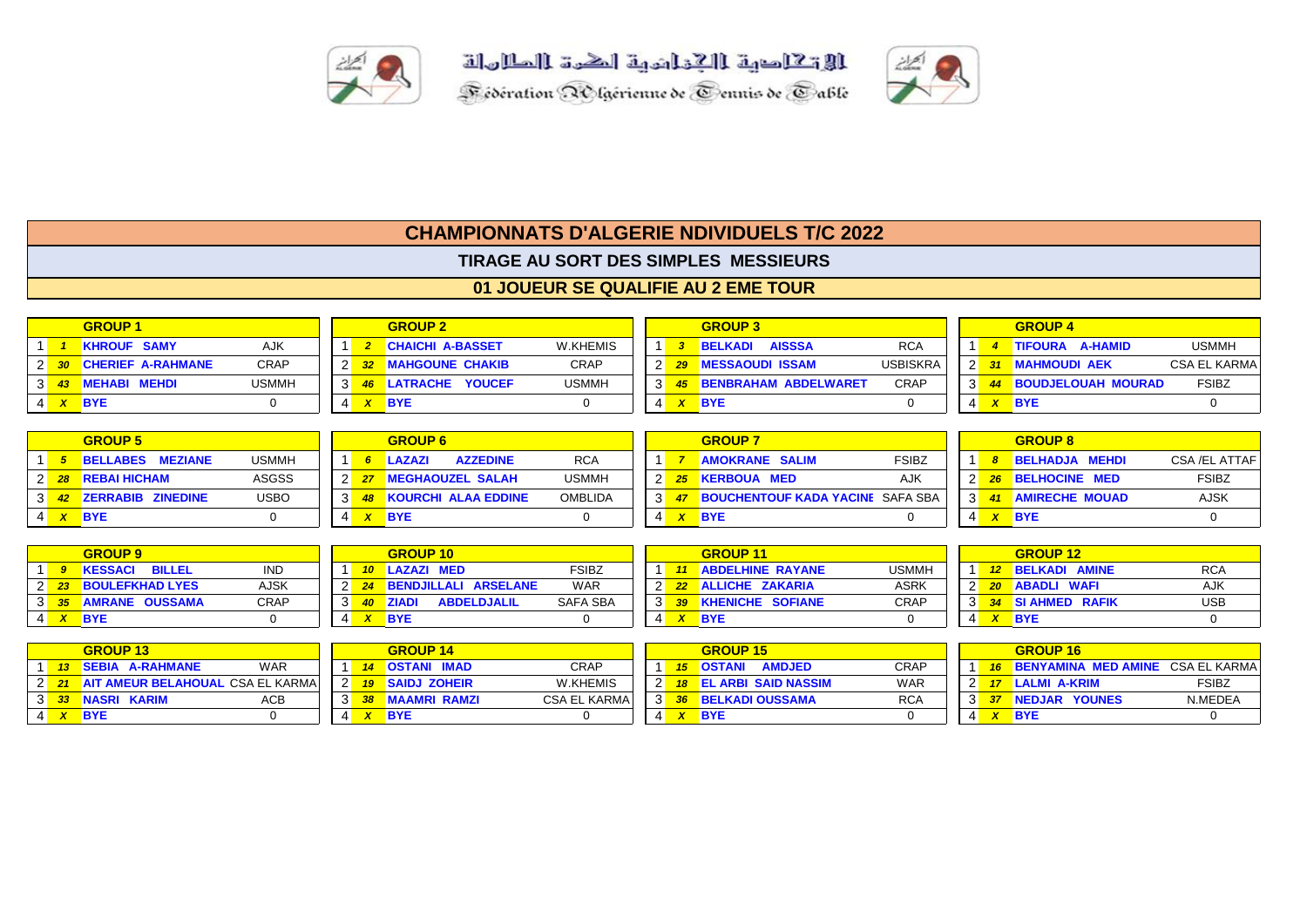





## **CHAMPIONNATS D'ALGERIE NDIVIDUELS T/C 2022**

**TIRAGE AU SORT DES SIMPLES MESSIEURS**

## **01 JOUEUR SE QUALIFIE AU 2 EME TOUR**

|  | <b>GROUP 1</b>         |              |                | <b>GROUP 2</b>          |              |               |  | <b>GROUP 3</b>                  |                 |  | <b>GROUP 4</b>         |                     |
|--|------------------------|--------------|----------------|-------------------------|--------------|---------------|--|---------------------------------|-----------------|--|------------------------|---------------------|
|  | <b>KHROUF SAMY</b>     | <b>AJK</b>   |                | <b>CHAICHI A-BASSET</b> | W.KHEMIS     |               |  | <b>AISSSA</b><br><b>BELKADI</b> | <b>RCA</b>      |  | TIFOURA A-HAMID        | <b>USMMH</b>        |
|  | 2 30 CHERIEF A-RAHMANE | <b>CRAP</b>  | 2 <sup>k</sup> | 32 MAHGOUNE CHAKIB      | <b>CRAP</b>  |               |  | <b>MESSAOUDI ISSAM</b>          | <b>USBISKRA</b> |  | <b>31 MAHMOUDI AEK</b> | <b>CSA EL KARMA</b> |
|  | 3 43 MEHABI MEHDI      | <b>USMMH</b> | $3^{\circ}$    | 46 LATRACHE YOUCEF      | <b>USMMH</b> | $\parallel$ 3 |  | 45 BENBRAHAM ABDELWARET         | <b>CRAP</b>     |  | 44 BOUDJELOUAH MOURAD  | <b>FSIBZ</b>        |
|  | $X$ BYE                |              |                | <b>BYE</b>              |              |               |  | <b>BYE</b>                      |                 |  | BYE                    |                     |

|  | <b>GROUP 5</b>          |              |  | <b>GROUP 6</b>                |                |                |  | <b>GROUP 7</b>                          |              |                | <b>GROUP 8</b>        |               |
|--|-------------------------|--------------|--|-------------------------------|----------------|----------------|--|-----------------------------------------|--------------|----------------|-----------------------|---------------|
|  | <b>BELLABES MEZIANE</b> | <b>USMMH</b> |  | <b>AZZEDINE</b><br>LAZAZI     | <b>RCA</b>     |                |  | <b>AMOKRANE SALIM</b>                   | <b>FSIBZ</b> |                | <b>BELHADJA MEHDI</b> | CSA /EL ATTAF |
|  | 2 28 REBAI HICHAM       | <b>ASGSS</b> |  | <b>MEGHAOUZEL SALAH</b>       | <b>USMMH</b>   | - 2 N          |  | <b>KERBOUA MED</b>                      | AJK          |                | <b>BELHOCINE MED</b>  | <b>FSIBZ</b>  |
|  | 3 42 ZERRABIB ZINEDINE  | <b>USBO</b>  |  | <b>48 KOURCHI ALAA EDDINE</b> | <b>OMBLIDA</b> | $\mathbf{3}$   |  | <b>BOUCHENTOUF KADA YACINE SAFA SBA</b> |              | 3 <sup>1</sup> | <b>AMIRECHE MOUAD</b> | <b>AJSK</b>   |
|  | $X$ BYE                 |              |  | <b>BYE</b>                    |                | 4 <sup>1</sup> |  | <b>BYE</b>                              |              |                | <b>BYE</b>            |               |

|  | <b>GROUP 9</b>        |             |  | <b>GROUP 10</b>                    |                 |  | <b>GROUP11</b>          |             |                 | <b>GROUP 12</b>      |            |
|--|-----------------------|-------------|--|------------------------------------|-----------------|--|-------------------------|-------------|-----------------|----------------------|------------|
|  | <b>KESSACI BILLEL</b> | <b>IND</b>  |  | LAZAZI MED                         | <b>FSIBZ</b>    |  | <b>ABDELHINE RAYANE</b> | USMMH       | 12 <sup>2</sup> | <b>BELKADI AMINE</b> | <b>RCA</b> |
|  | 2 23 BOULEFKHAD LYES  | <b>AJSK</b> |  | <b>BENDJILLALI ARSELANE</b>        | <b>WAR</b>      |  | 22 ALLICHE ZAKARIA      | <b>ASRK</b> |                 | <b>ABADLI WAFI</b>   | AJK        |
|  | 3 35 AMRANE OUSSAMA   | <b>CRAP</b> |  | <b>ABDELDJALIL</b><br><b>ZIADI</b> | <b>SAFA SBA</b> |  | <b>KHENICHE SOFIANE</b> | <b>CRAP</b> |                 | SI AHMED RAFIK       | <b>USB</b> |
|  | 4 <mark>XBYE</mark>   |             |  | <b>BYF</b>                         |                 |  | <b>BYE</b>              |             |                 | <b>BYE</b>           |            |

|  | <b>GROUP 13</b>          |                |   | <b>GROUP 14</b>        |               |  | <b>GROUP 15</b>                   |             |  | <b>GROUP 16</b>                            |              |
|--|--------------------------|----------------|---|------------------------|---------------|--|-----------------------------------|-------------|--|--------------------------------------------|--------------|
|  | SEBIA A-RAHMANE          | <b>WAR</b>     |   | <b>14 OSTANI IMAD</b>  | CRAP          |  | <b>15 OSTANI</b><br><b>AMDJED</b> | <b>CRAP</b> |  | <b>16 BENYAMINA MED AMINE CSA EL KARMA</b> |              |
|  | 2 21 AIT AMEUR BELAHOUAL | . CSA EL KARMA | ົ | <b>19 SAIDJ ZOHEIR</b> | W.KHEMIS      |  | <b>18 EL ARBI SAID NASSIM</b>     | <b>WAR</b>  |  | 17 LALMI A-KRIM                            | <b>FSIBZ</b> |
|  | 3 33 NASRI KARIM         | ACB            |   | 38 MAAMRI RAMZI        | CSA EL KARMA. |  | <b>36 BELKADI OUSSAMA</b>         | <b>RCA</b>  |  | NEDJAR YOUNES                              | N.MEDEA      |
|  | <b>BYE</b>               |                |   | <b>BYE</b>             |               |  | <b>BYE</b>                        |             |  | ABY                                        |              |

|              |    | <b>GROUP 15</b>                |            |        |    | <b>GROUP 16</b>                         |              |
|--------------|----|--------------------------------|------------|--------|----|-----------------------------------------|--------------|
|              | 15 | <b>OSTANI</b><br><b>AMDJED</b> | CRAP       |        | 16 | <b>BENYAMINA MED AMINE</b> CSA EL KARMA |              |
|              |    | <b>EL ARBI SAID NASSIM</b>     | <b>WAR</b> |        |    | LALMI A-KRIM                            | <b>FSIBZ</b> |
| $\mathbf{3}$ | 36 | <b>BELKADI OUSSAMA</b>         | <b>RCA</b> | $\sim$ |    | NEDJAR YOUNES                           | N.MEDEA      |
| 4            | x  | <b>BYE</b>                     |            |        |    | <b>BYE</b>                              |              |